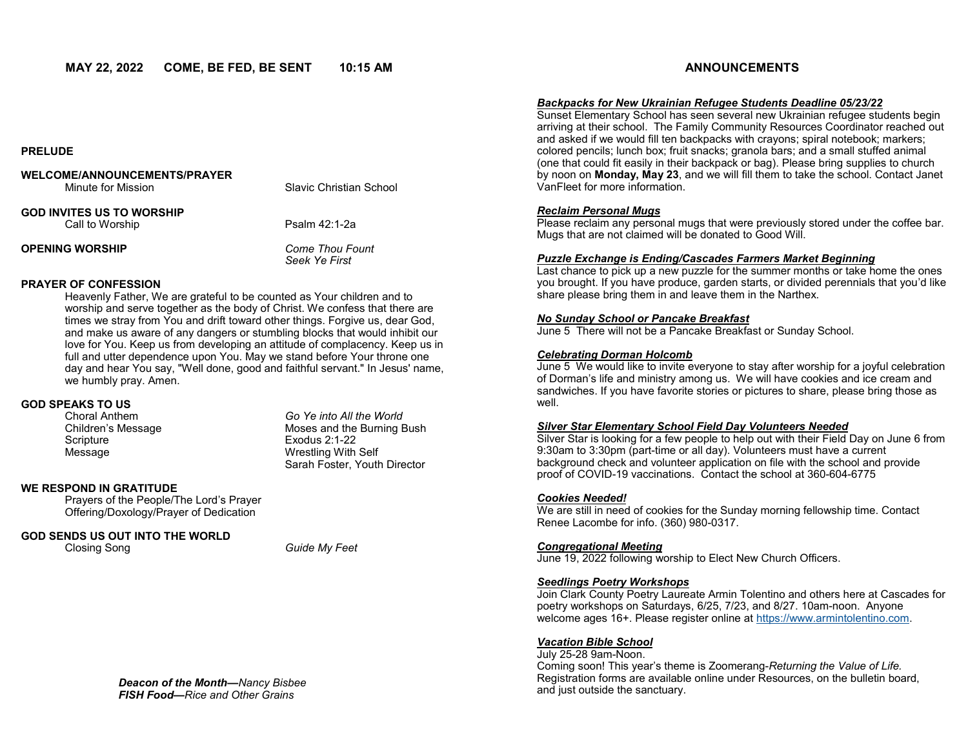## **PRELUDE**

| WELCOME/ANNOUNCEMENTS/PRAYER<br>Minute for Mission | Slavic Christian School                 |
|----------------------------------------------------|-----------------------------------------|
| GOD INVITES US TO WORSHIP<br>Call to Worship       | Psalm 42:1-2a                           |
| <b>OPENING WORSHIP</b>                             | <b>Come Thou Fount</b><br>Seek Ye First |

# **PRAYER OF CONFESSION**

Heavenly Father, We are grateful to be counted as Your children and to worship and serve together as the body of Christ. We confess that there are times we stray from You and drift toward other things. Forgive us, dear God, and make us aware of any dangers or stumbling blocks that would inhibit our love for You. Keep us from developing an attitude of complacency. Keep us in full and utter dependence upon You. May we stand before Your throne one day and hear You say, "Well done, good and faithful servant." In Jesus' name, we humbly pray. Amen.

#### **GOD SPEAKS TO US**

| Choral Anthem      | Go Ye into All the World     |
|--------------------|------------------------------|
| Children's Message | Moses and the Burning Bush   |
| Scripture          | Exodus $2:1-22$              |
| Message            | Wrestling With Self          |
|                    | Sarah Foster, Youth Director |

# **WE RESPOND IN GRATITUDE**

Prayers of the People/The Lord's Prayer Offering/Doxology/Prayer of Dedication

# **GOD SENDS US OUT INTO THE WORLD**

Closing Song *Guide My Feet*

# *Backpacks for New Ukrainian Refugee Students Deadline 05/23/22*

Sunset Elementary School has seen several new Ukrainian refugee students begin arriving at their school. The Family Community Resources Coordinator reached out and asked if we would fill ten backpacks with crayons; spiral notebook; markers; colored pencils; lunch box; fruit snacks; granola bars; and a small stuffed animal (one that could fit easily in their backpack or bag). Please bring supplies to church by noon on **Monday, May 23**, and we will fill them to take the school. Contact Janet VanFleet for more information.

# *Reclaim Personal Mugs*

Please reclaim any personal mugs that were previously stored under the coffee bar. Mugs that are not claimed will be donated to Good Will.

# *Puzzle Exchange is Ending/Cascades Farmers Market Beginning*

Last chance to pick up a new puzzle for the summer months or take home the ones you brought. If you have produce, garden starts, or divided perennials that you'd like share please bring them in and leave them in the Narthex.

# *No Sunday School or Pancake Breakfast*

June 5 There will not be a Pancake Breakfast or Sunday School.

## *Celebrating Dorman Holcomb*

June 5 We would like to invite everyone to stay after worship for a joyful celebration of Dorman's life and ministry among us. We will have cookies and ice cream and sandwiches. If you have favorite stories or pictures to share, please bring those as well.

## *Silver Star Elementary School Field Day Volunteers Needed*

Silver Star is looking for a few people to help out with their Field Day on June 6 from 9:30am to 3:30pm (part-time or all day). Volunteers must have a current background check and volunteer application on file with the school and provide proof of COVID-19 vaccinations. Contact the school at 360-604-6775

## *Cookies Needed!*

We are still in need of cookies for the Sunday morning fellowship time. Contact Renee Lacombe for info. (360) 980-0317.

## *Congregational Meeting*

June 19, 2022 following worship to Elect New Church Officers.

## *Seedlings Poetry Workshops*

Join Clark County Poetry Laureate Armin Tolentino and others here at Cascades for poetry workshops on Saturdays, 6/25, 7/23, and 8/27. 10am-noon. Anyone welcome ages 16+. Please register online at [https://www.armintolentino.com.](https://www.armintolentino.com) 

# *Vacation Bible School*

July 25-28 9am-Noon. Coming soon! This year's theme is Zoomerang-*Returning the Value of Life.*  Registration forms are available online under Resources, on the bulletin board, and just outside the sanctuary.

*Deacon of the Month—Nancy Bisbee FISH Food—Rice and Other Grains*